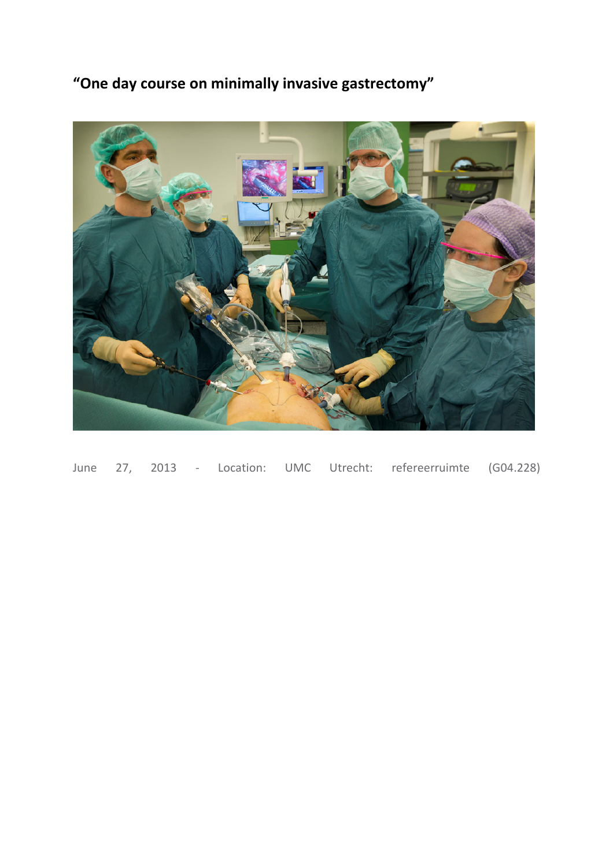"One day course on minimally invasive gastrectomy"



June 27, 2013 - Location: UMC Utrecht: refereerruimte (G04.228)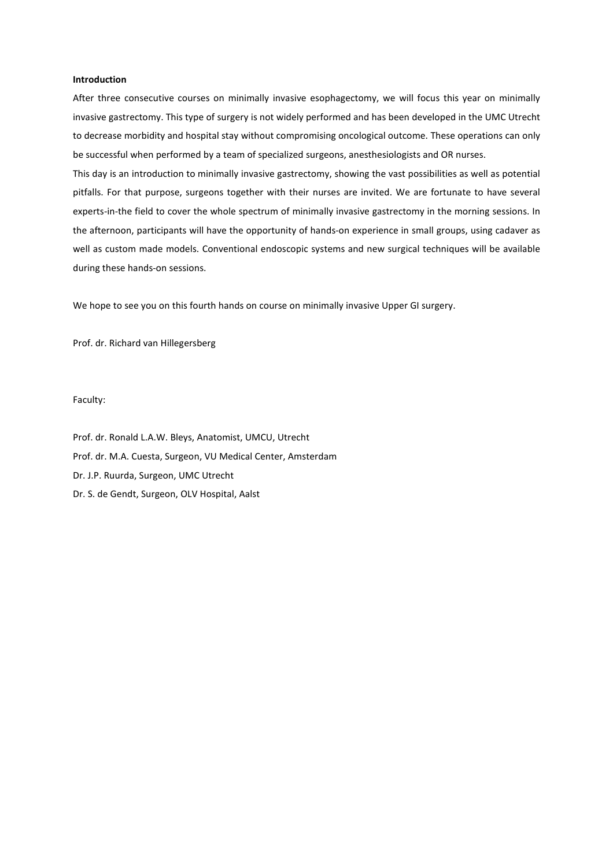#### Introduction

After three consecutive courses on minimally invasive esophagectomy, we will focus this year on minimally invasive gastrectomy. This type of surgery is not widely performed and has been developed in the UMC Utrecht to decrease morbidity and hospital stay without compromising oncological outcome. These operations can only be successful when performed by a team of specialized surgeons, anesthesiologists and OR nurses.

This day is an introduction to minimally invasive gastrectomy, showing the vast possibilities as well as potential pitfalls. For that purpose, surgeons together with their nurses are invited. We are fortunate to have several experts-in-the field to cover the whole spectrum of minimally invasive gastrectomy in the morning sessions. In the afternoon, participants will have the opportunity of hands-on experience in small groups, using cadaver as well as custom made models. Conventional endoscopic systems and new surgical techniques will be available during these hands-on sessions.

We hope to see you on this fourth hands on course on minimally invasive Upper GI surgery.

Prof. dr. Richard van Hillegersberg

Faculty:

Prof. dr. Ronald L.A.W. Bleys, Anatomist, UMCU, Utrecht Prof. dr. M.A. Cuesta, Surgeon, VU Medical Center, Amsterdam Dr. J.P. Ruurda, Surgeon, UMC Utrecht Dr. S. de Gendt, Surgeon, OLV Hospital, Aalst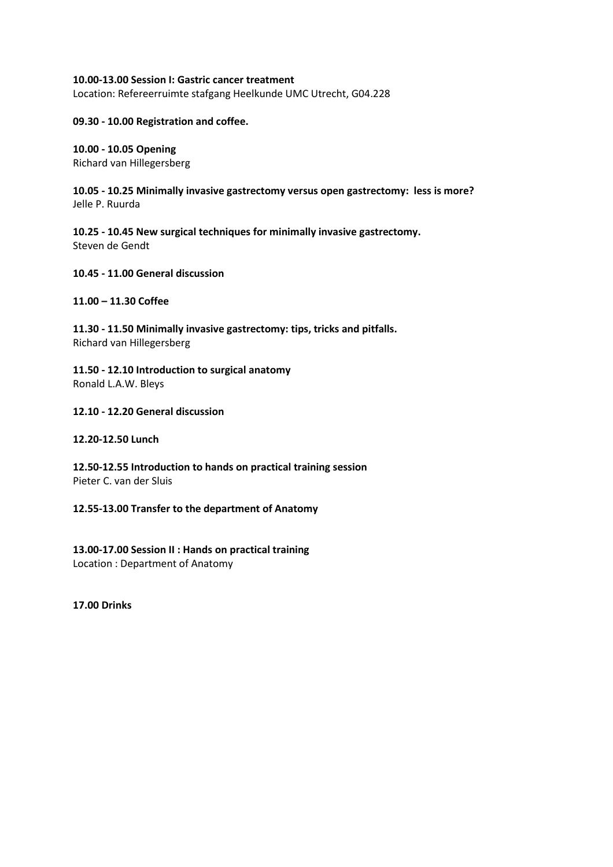# 10.00-13.00 Session I: Gastric cancer treatment

Location: Refereerruimte stafgang Heelkunde UMC Utrecht, G04.228

# 09.30 - 10.00 Registration and coffee.

# 10.00 - 10.05 Opening

Richard van Hillegersberg

10.05 - 10.25 Minimally invasive gastrectomy versus open gastrectomy: less is more? Jelle P. Ruurda

10.25 - 10.45 New surgical techniques for minimally invasive gastrectomy. Steven de Gendt

10.45 - 11.00 General discussion

# 11.00 – 11.30 Coffee

11.30 - 11.50 Minimally invasive gastrectomy: tips, tricks and pitfalls. Richard van Hillegersberg

11.50 - 12.10 Introduction to surgical anatomy Ronald L.A.W. Bleys

# 12.10 - 12.20 General discussion

### 12.20-12.50 Lunch

12.50-12.55 Introduction to hands on practical training session Pieter C. van der Sluis

### 12.55-13.00 Transfer to the department of Anatomy

13.00-17.00 Session II : Hands on practical training Location : Department of Anatomy

17.00 Drinks